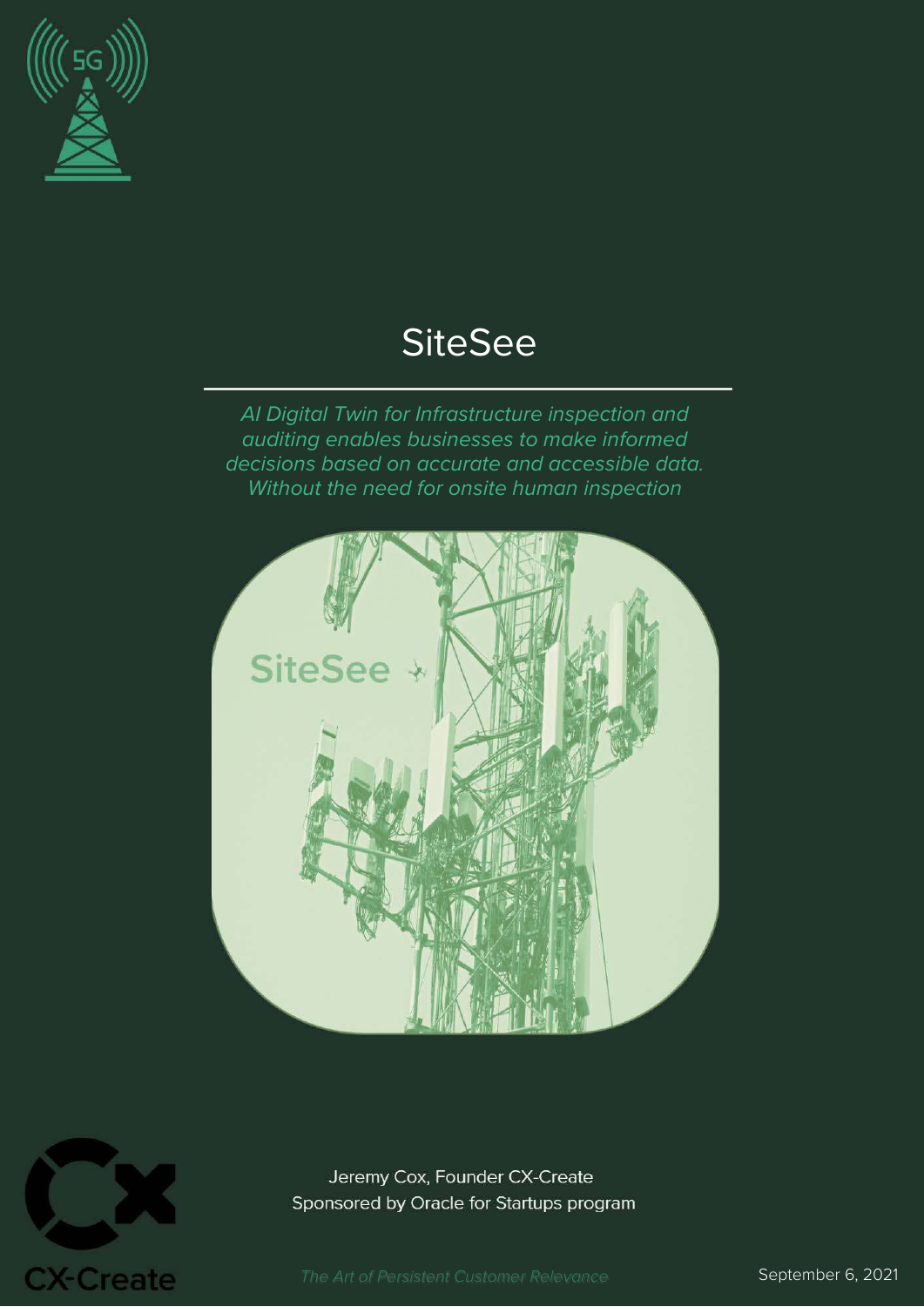

# **SiteSee**

AI Digital Twin for Infrastructure inspection and auditing enables businesses to make informed decisions based on accurate and accessible data. Without the need for onsite human inspection





Jeremy Cox, Founder CX-Create Sponsored by Oracle for Startups program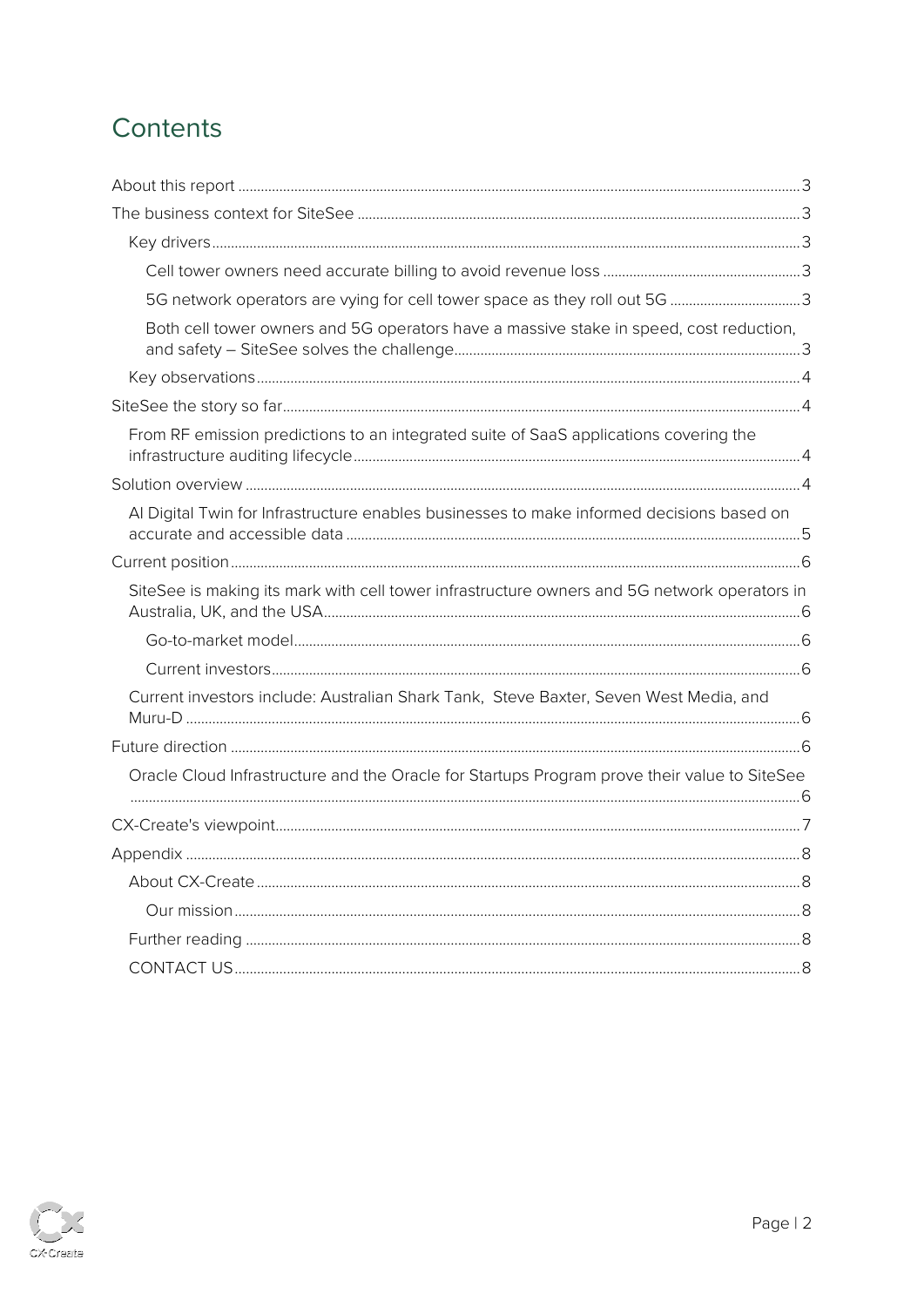# Contents

| 5G network operators are vying for cell tower space as they roll out 5G 3                    |  |
|----------------------------------------------------------------------------------------------|--|
| Both cell tower owners and 5G operators have a massive stake in speed, cost reduction,       |  |
|                                                                                              |  |
|                                                                                              |  |
| From RF emission predictions to an integrated suite of SaaS applications covering the        |  |
|                                                                                              |  |
| Al Digital Twin for Infrastructure enables businesses to make informed decisions based on    |  |
|                                                                                              |  |
| SiteSee is making its mark with cell tower infrastructure owners and 5G network operators in |  |
|                                                                                              |  |
|                                                                                              |  |
| Current investors include: Australian Shark Tank, Steve Baxter, Seven West Media, and        |  |
|                                                                                              |  |
| Oracle Cloud Infrastructure and the Oracle for Startups Program prove their value to SiteSee |  |
|                                                                                              |  |
|                                                                                              |  |
|                                                                                              |  |
|                                                                                              |  |
|                                                                                              |  |
|                                                                                              |  |

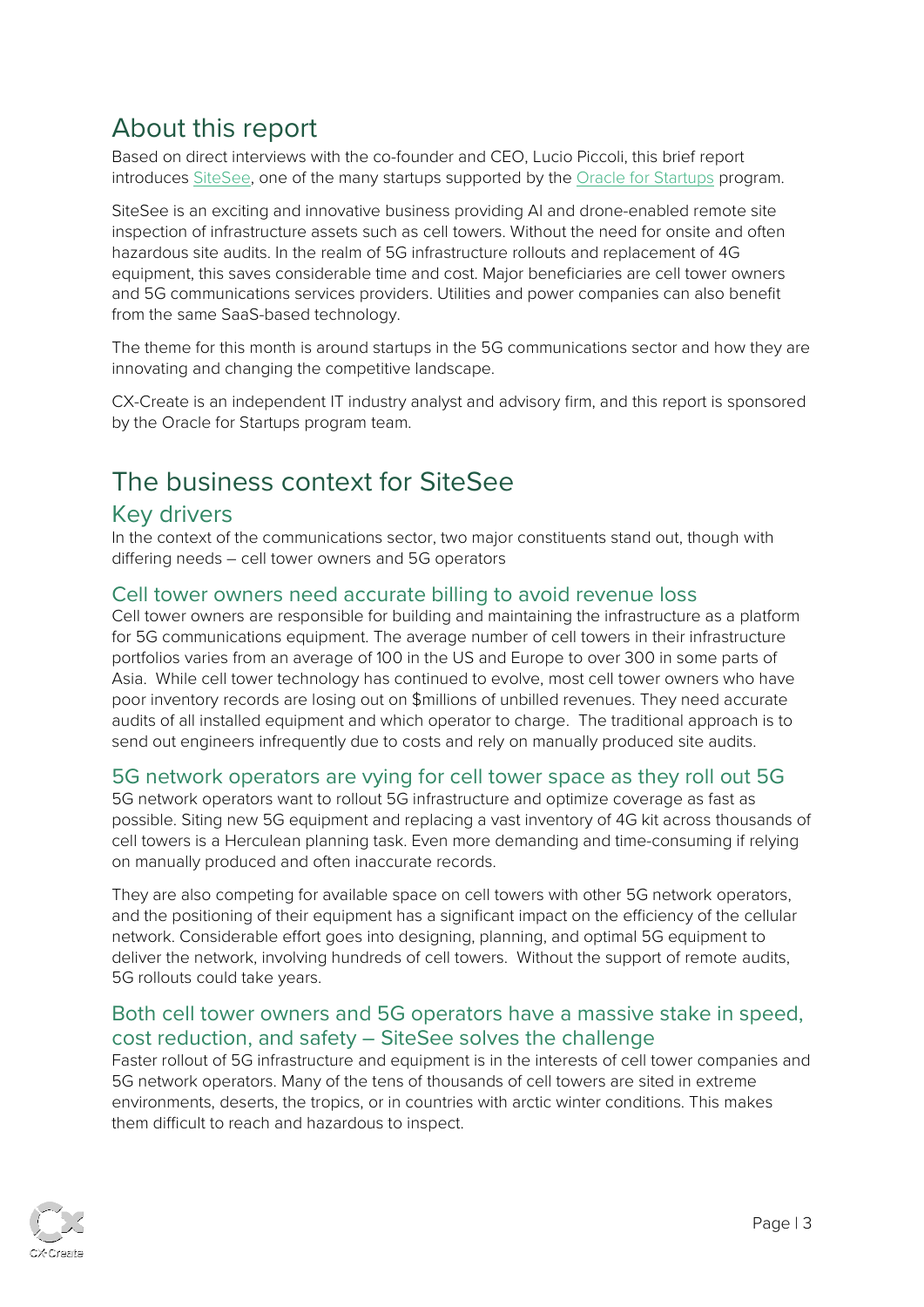# <span id="page-2-0"></span>About this report

Based on direct interviews with the co-founder and CEO, Lucio Piccoli, this brief report introduces [SiteSee,](https://www.sitesee.io/) one of the many startups supported by the [Oracle for Startups](http://www.oracle.com/startup) program.

SiteSee is an exciting and innovative business providing AI and drone-enabled remote site inspection of infrastructure assets such as cell towers. Without the need for onsite and often hazardous site audits. In the realm of 5G infrastructure rollouts and replacement of 4G equipment, this saves considerable time and cost. Major beneficiaries are cell tower owners and 5G communications services providers. Utilities and power companies can also benefit from the same SaaS-based technology.

The theme for this month is around startups in the 5G communications sector and how they are innovating and changing the competitive landscape.

CX-Create is an independent IT industry analyst and advisory firm, and this report is sponsored by the Oracle for Startups program team.

# <span id="page-2-1"></span>The business context for SiteSee

#### <span id="page-2-2"></span>Key drivers

In the context of the communications sector, two major constituents stand out, though with differing needs – cell tower owners and 5G operators

#### <span id="page-2-3"></span>Cell tower owners need accurate billing to avoid revenue loss

Cell tower owners are responsible for building and maintaining the infrastructure as a platform for 5G communications equipment. The average number of cell towers in their infrastructure portfolios varies from an average of 100 in the US and Europe to over 300 in some parts of Asia. While cell tower technology has continued to evolve, most cell tower owners who have poor inventory records are losing out on \$millions of unbilled revenues. They need accurate audits of all installed equipment and which operator to charge. The traditional approach is to send out engineers infrequently due to costs and rely on manually produced site audits.

#### <span id="page-2-4"></span>5G network operators are vying for cell tower space as they roll out 5G

5G network operators want to rollout 5G infrastructure and optimize coverage as fast as possible. Siting new 5G equipment and replacing a vast inventory of 4G kit across thousands of cell towers is a Herculean planning task. Even more demanding and time-consuming if relying on manually produced and often inaccurate records.

They are also competing for available space on cell towers with other 5G network operators, and the positioning of their equipment has a significant impact on the efficiency of the cellular network. Considerable effort goes into designing, planning, and optimal 5G equipment to deliver the network, involving hundreds of cell towers. Without the support of remote audits, 5G rollouts could take years.

#### <span id="page-2-5"></span>Both cell tower owners and 5G operators have a massive stake in speed, cost reduction, and safety – SiteSee solves the challenge

Faster rollout of 5G infrastructure and equipment is in the interests of cell tower companies and 5G network operators. Many of the tens of thousands of cell towers are sited in extreme environments, deserts, the tropics, or in countries with arctic winter conditions. This makes them difficult to reach and hazardous to inspect.

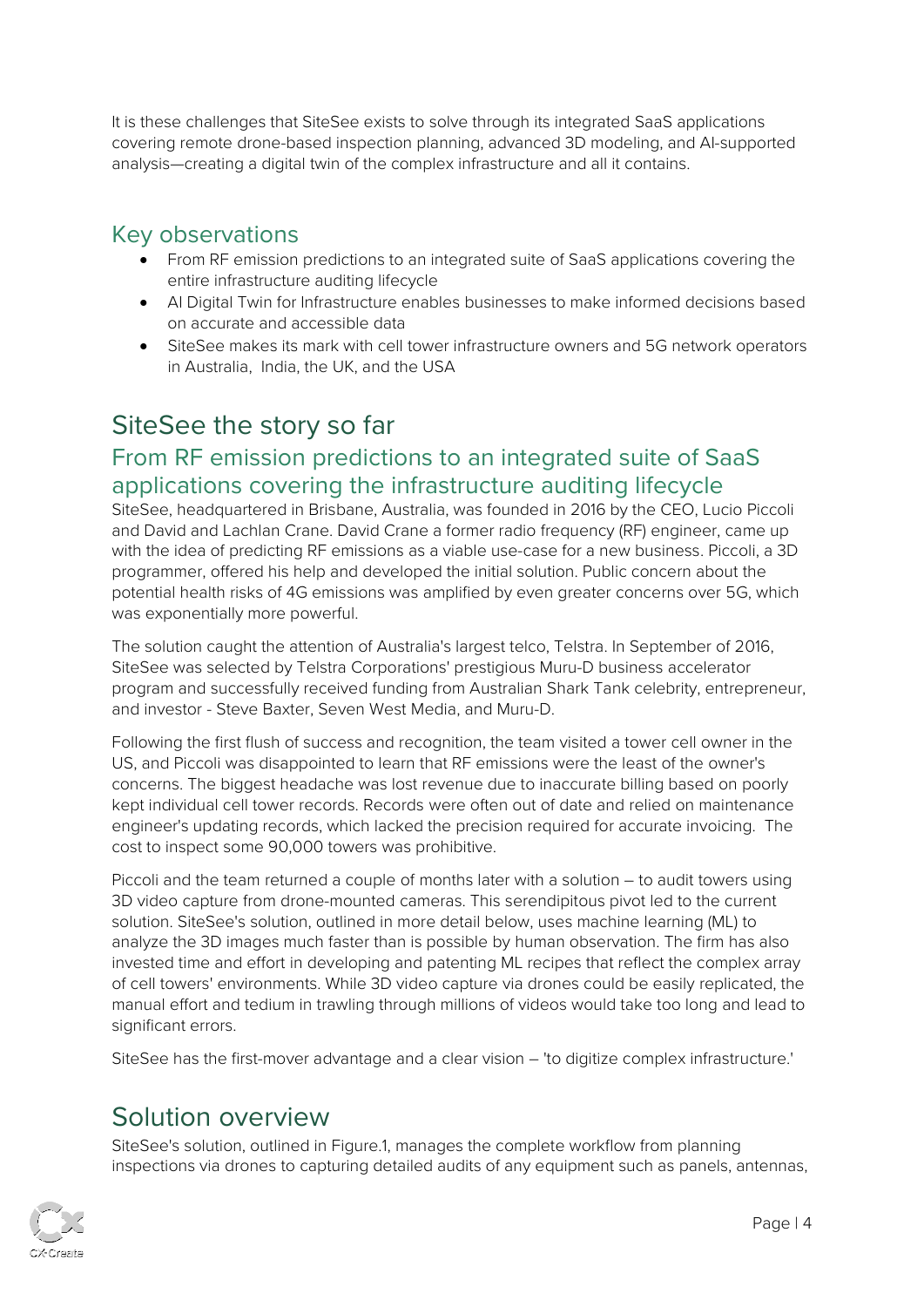It is these challenges that SiteSee exists to solve through its integrated SaaS applications covering remote drone-based inspection planning, advanced 3D modeling, and AI-supported analysis—creating a digital twin of the complex infrastructure and all it contains.

### <span id="page-3-0"></span>Key observations

- From RF emission predictions to an integrated suite of SaaS applications covering the entire infrastructure auditing lifecycle
- AI Digital Twin for Infrastructure enables businesses to make informed decisions based on accurate and accessible data
- SiteSee makes its mark with cell tower infrastructure owners and 5G network operators in Australia, India, the UK, and the USA

# <span id="page-3-1"></span>SiteSee the story so far

### <span id="page-3-2"></span>From RF emission predictions to an integrated suite of SaaS applications covering the infrastructure auditing lifecycle

SiteSee, headquartered in Brisbane, Australia, was founded in 2016 by the CEO, Lucio Piccoli and David and Lachlan Crane. David Crane a former radio frequency (RF) engineer, came up with the idea of predicting RF emissions as a viable use-case for a new business. Piccoli, a 3D programmer, offered his help and developed the initial solution. Public concern about the potential health risks of 4G emissions was amplified by even greater concerns over 5G, which was exponentially more powerful.

The solution caught the attention of Australia's largest telco, Telstra. In September of 2016, SiteSee was selected by Telstra Corporations' prestigious Muru-D business accelerator program and successfully received funding from Australian Shark Tank celebrity, entrepreneur, and investor - Steve Baxter, Seven West Media, and Muru-D.

Following the first flush of success and recognition, the team visited a tower cell owner in the US, and Piccoli was disappointed to learn that RF emissions were the least of the owner's concerns. The biggest headache was lost revenue due to inaccurate billing based on poorly kept individual cell tower records. Records were often out of date and relied on maintenance engineer's updating records, which lacked the precision required for accurate invoicing. The cost to inspect some 90,000 towers was prohibitive.

Piccoli and the team returned a couple of months later with a solution – to audit towers using 3D video capture from drone-mounted cameras. This serendipitous pivot led to the current solution. SiteSee's solution, outlined in more detail below, uses machine learning (ML) to analyze the 3D images much faster than is possible by human observation. The firm has also invested time and effort in developing and patenting ML recipes that reflect the complex array of cell towers' environments. While 3D video capture via drones could be easily replicated, the manual effort and tedium in trawling through millions of videos would take too long and lead to significant errors.

SiteSee has the first-mover advantage and a clear vision – 'to digitize complex infrastructure.'

## <span id="page-3-3"></span>Solution overview

SiteSee's solution, outlined in Figure.1, manages the complete workflow from planning inspections via drones to capturing detailed audits of any equipment such as panels, antennas,

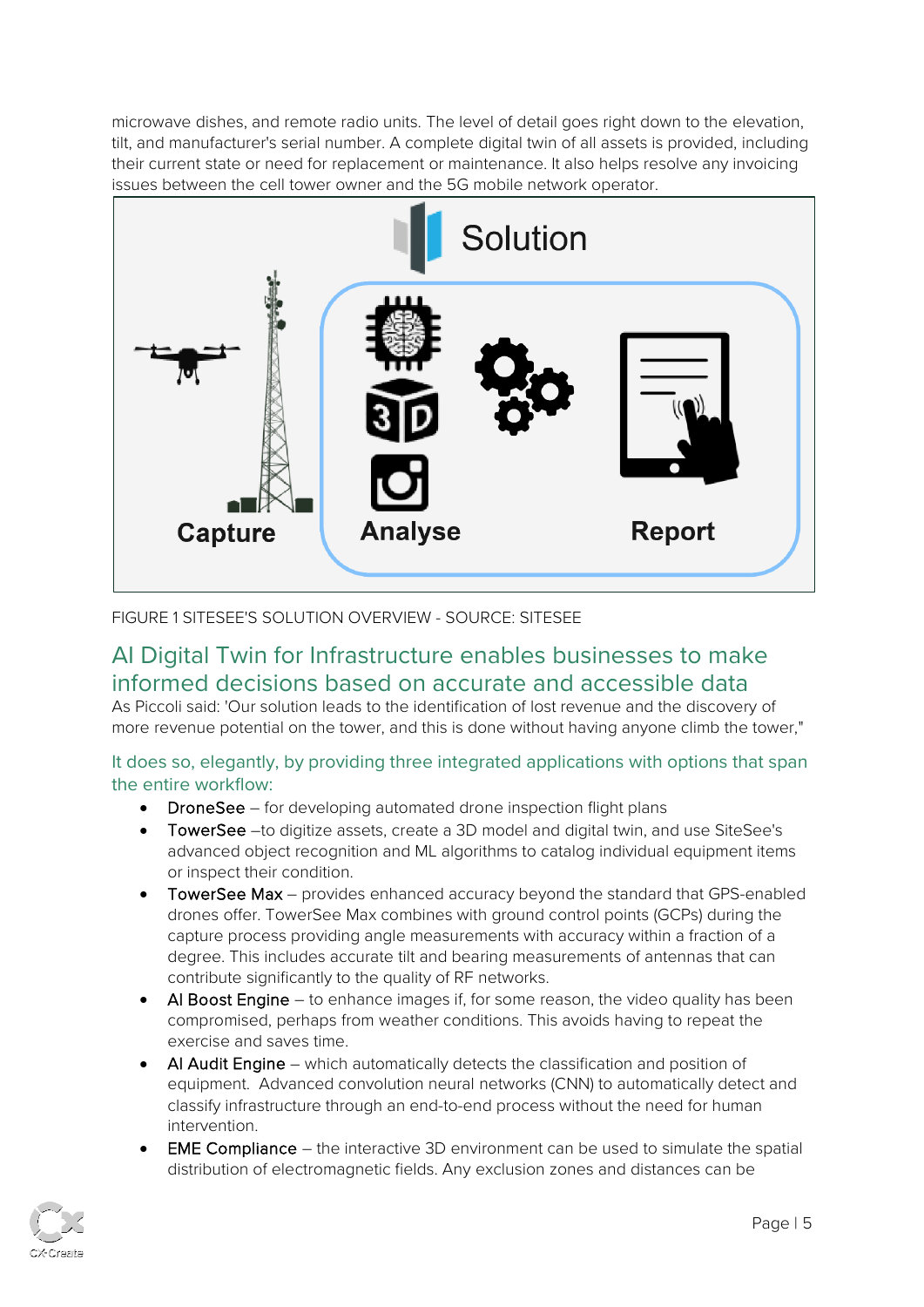microwave dishes, and remote radio units. The level of detail goes right down to the elevation, tilt, and manufacturer's serial number. A complete digital twin of all assets is provided, including their current state or need for replacement or maintenance. It also helps resolve any invoicing issues between the cell tower owner and the 5G mobile network operator.



FIGURE 1 SITESEE'S SOLUTION OVERVIEW - SOURCE: SITESEE

### <span id="page-4-0"></span>AI Digital Twin for Infrastructure enables businesses to make informed decisions based on accurate and accessible data

As Piccoli said: 'Our solution leads to the identification of lost revenue and the discovery of more revenue potential on the tower, and this is done without having anyone climb the tower,"

#### It does so, elegantly, by providing three integrated applications with options that span the entire workflow:

- DroneSee for developing automated drone inspection flight plans
- TowerSee –to digitize assets, create a 3D model and digital twin, and use SiteSee's advanced object recognition and ML algorithms to catalog individual equipment items or inspect their condition.
- TowerSee Max provides enhanced accuracy beyond the standard that GPS-enabled drones offer. TowerSee Max combines with ground control points (GCPs) during the capture process providing angle measurements with accuracy within a fraction of a degree. This includes accurate tilt and bearing measurements of antennas that can contribute significantly to the quality of RF networks.
- AI Boost Engine to enhance images if, for some reason, the video quality has been compromised, perhaps from weather conditions. This avoids having to repeat the exercise and saves time.
- AI Audit Engine which automatically detects the classification and position of equipment. Advanced convolution neural networks (CNN) to automatically detect and classify infrastructure through an end-to-end process without the need for human intervention.
- **EME Compliance** the interactive 3D environment can be used to simulate the spatial distribution of electromagnetic fields. Any exclusion zones and distances can be

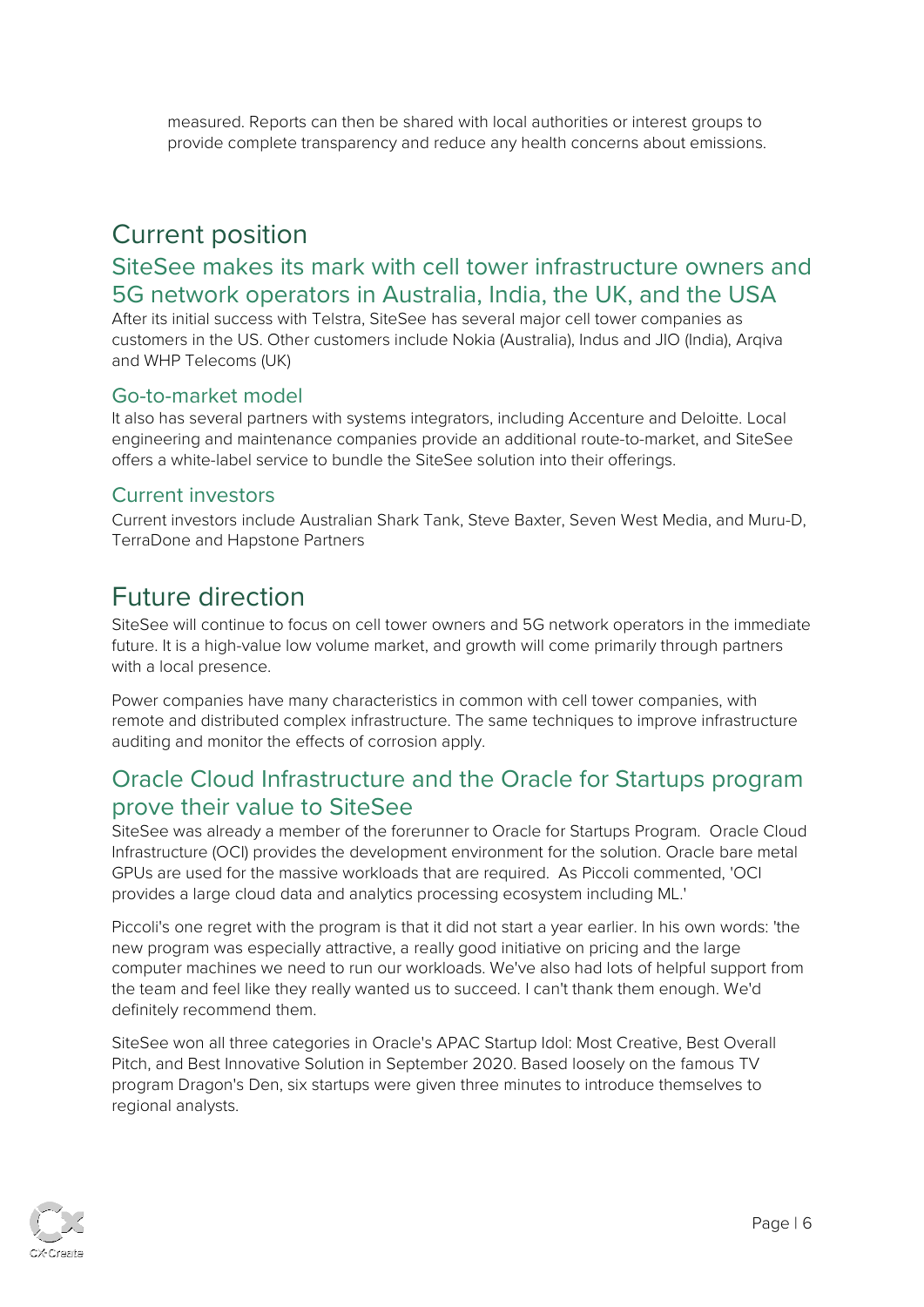measured. Reports can then be shared with local authorities or interest groups to provide complete transparency and reduce any health concerns about emissions.

# <span id="page-5-0"></span>Current position

### <span id="page-5-1"></span>SiteSee makes its mark with cell tower infrastructure owners and 5G network operators in Australia, India, the UK, and the USA

After its initial success with Telstra, SiteSee has several major cell tower companies as customers in the US. Other customers include Nokia (Australia), Indus and JIO (India), Arqiva and WHP Telecoms (UK)

#### <span id="page-5-2"></span>Go-to-market model

It also has several partners with systems integrators, including Accenture and Deloitte. Local engineering and maintenance companies provide an additional route-to-market, and SiteSee offers a white-label service to bundle the SiteSee solution into their offerings.

#### <span id="page-5-3"></span>Current investors

<span id="page-5-4"></span>Current investors include Australian Shark Tank, Steve Baxter, Seven West Media, and Muru-D, TerraDone and Hapstone Partners

# <span id="page-5-5"></span>Future direction

SiteSee will continue to focus on cell tower owners and 5G network operators in the immediate future. It is a high-value low volume market, and growth will come primarily through partners with a local presence.

Power companies have many characteristics in common with cell tower companies, with remote and distributed complex infrastructure. The same techniques to improve infrastructure auditing and monitor the effects of corrosion apply.

### <span id="page-5-6"></span>Oracle Cloud Infrastructure and the Oracle for Startups program prove their value to SiteSee

SiteSee was already a member of the forerunner to Oracle for Startups Program. Oracle Cloud Infrastructure (OCI) provides the development environment for the solution. Oracle bare metal GPUs are used for the massive workloads that are required. As Piccoli commented, 'OCI provides a large cloud data and analytics processing ecosystem including ML.'

Piccoli's one regret with the program is that it did not start a year earlier. In his own words: 'the new program was especially attractive, a really good initiative on pricing and the large computer machines we need to run our workloads. We've also had lots of helpful support from the team and feel like they really wanted us to succeed. I can't thank them enough. We'd definitely recommend them.

SiteSee won all three categories in Oracle's APAC Startup Idol: Most Creative, Best Overall Pitch, and Best Innovative Solution in September 2020. Based loosely on the famous TV program Dragon's Den, six startups were given three minutes to introduce themselves to regional analysts.

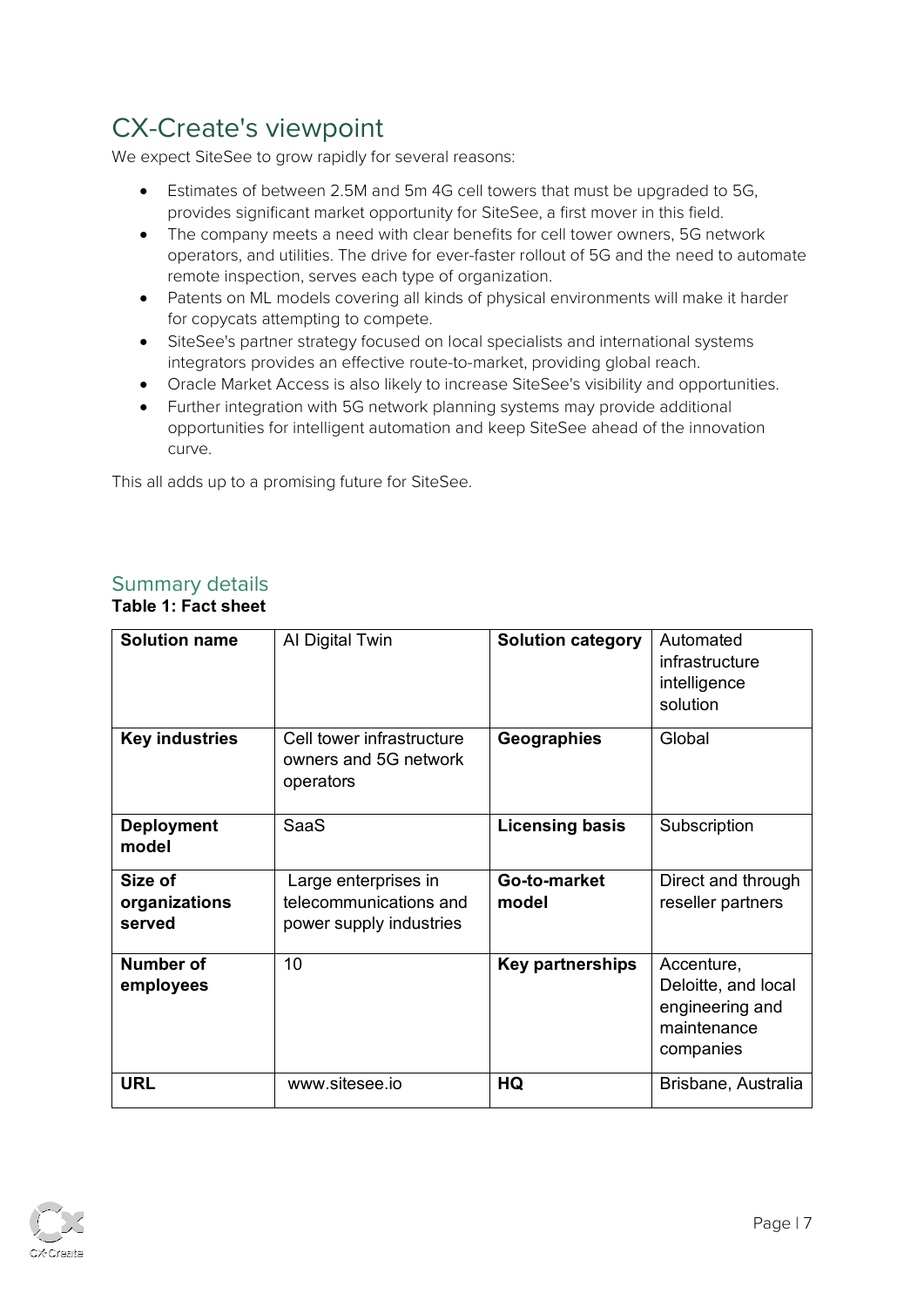# <span id="page-6-0"></span>CX-Create's viewpoint

We expect SiteSee to grow rapidly for several reasons:

- Estimates of between 2.5M and 5m 4G cell towers that must be upgraded to 5G, provides significant market opportunity for SiteSee, a first mover in this field.
- The company meets a need with clear benefits for cell tower owners, 5G network operators, and utilities. The drive for ever-faster rollout of 5G and the need to automate remote inspection, serves each type of organization.
- Patents on ML models covering all kinds of physical environments will make it harder for copycats attempting to compete.
- SiteSee's partner strategy focused on local specialists and international systems integrators provides an effective route-to-market, providing global reach.
- Oracle Market Access is also likely to increase SiteSee's visibility and opportunities.
- Further integration with 5G network planning systems may provide additional opportunities for intelligent automation and keep SiteSee ahead of the innovation curve.

This all adds up to a promising future for SiteSee.

#### Summary details **Table 1: Fact sheet**

| <b>Solution name</b>               | Al Digital Twin                                                           | <b>Solution category</b> | Automated<br>infrastructure<br>intelligence<br>solution                          |
|------------------------------------|---------------------------------------------------------------------------|--------------------------|----------------------------------------------------------------------------------|
| <b>Key industries</b>              | Cell tower infrastructure<br>owners and 5G network<br>operators           | Geographies              | Global                                                                           |
| <b>Deployment</b><br>model         | <b>SaaS</b>                                                               | <b>Licensing basis</b>   | Subscription                                                                     |
| Size of<br>organizations<br>served | Large enterprises in<br>telecommunications and<br>power supply industries | Go-to-market<br>model    | Direct and through<br>reseller partners                                          |
| <b>Number of</b><br>employees      | 10                                                                        | <b>Key partnerships</b>  | Accenture,<br>Deloitte, and local<br>engineering and<br>maintenance<br>companies |
| <b>URL</b>                         | www.sitesee.jo                                                            | HQ                       | Brisbane, Australia                                                              |